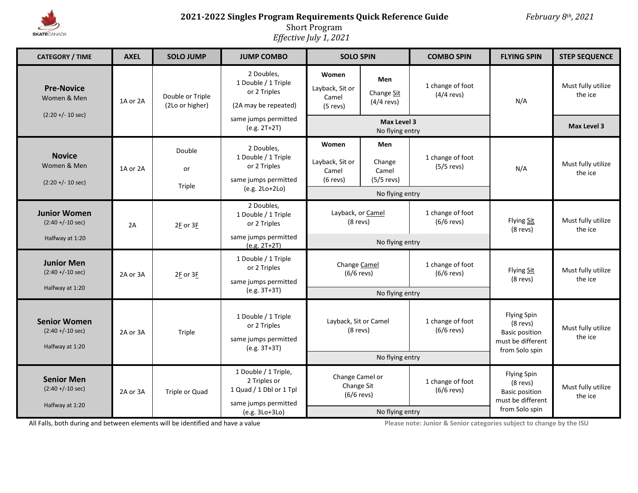

# **2021-2022 Singles Program Requirements Quick Reference Guide** *February 8th, 2021*

 $\mathbb{R}^2$ 

Short Program

*Effective July 1, 2021*

| <b>CATEGORY / TIME</b>                                         | <b>AXEL</b> | <b>SOLO JUMP</b>                    | <b>JUMP COMBO</b>                                                                                                   | <b>SOLO SPIN</b>                                                 |                                                           | <b>COMBO SPIN</b>                | <b>FLYING SPIN</b>                                                                               | <b>STEP SEQUENCE</b>          |
|----------------------------------------------------------------|-------------|-------------------------------------|---------------------------------------------------------------------------------------------------------------------|------------------------------------------------------------------|-----------------------------------------------------------|----------------------------------|--------------------------------------------------------------------------------------------------|-------------------------------|
| <b>Pre-Novice</b><br>Women & Men<br>$(2:20 + (-10 sec))$       | 1A or 2A    | Double or Triple<br>(2Lo or higher) | 2 Doubles,<br>1 Double / 1 Triple<br>or 2 Triples<br>(2A may be repeated)<br>same jumps permitted<br>$(e.g. 2T+2T)$ | Women<br>Layback, Sit or<br>Camel<br>$(5$ revs)                  | Men<br>Change Sit<br>$(4/4$ revs)                         | 1 change of foot<br>$(4/4$ revs) | N/A                                                                                              | Must fully utilize<br>the ice |
|                                                                |             |                                     |                                                                                                                     | Max Level 3<br>No flying entry                                   |                                                           |                                  |                                                                                                  | <b>Max Level 3</b>            |
| <b>Novice</b><br>Women & Men<br>$(2:20 + (-10 sec))$           | 1A or 2A    | Double<br>or<br>Triple              | 2 Doubles,<br>1 Double / 1 Triple<br>or 2 Triples<br>same jumps permitted<br>$(e.g. 2Lo+2Lo)$                       | Women<br>Layback, Sit or<br>Camel<br>$(6$ revs)                  | Men<br>Change<br>Camel<br>$(5/5$ revs)<br>No flying entry | 1 change of foot<br>$(5/5$ revs) | N/A                                                                                              | Must fully utilize<br>the ice |
| <b>Junior Women</b><br>$(2:40 + (-10 sec))$<br>Halfway at 1:20 | 2A          | 2E or 3E                            | 2 Doubles,<br>1 Double / 1 Triple<br>or 2 Triples<br>same jumps permitted<br>$(e.g. 2T+2T)$                         | Layback, or Camel<br>(8 revs)<br>No flying entry                 |                                                           | 1 change of foot<br>$(6/6$ revs) | Flying Sit<br>$(8$ revs)                                                                         | Must fully utilize<br>the ice |
| <b>Junior Men</b><br>$(2:40 + (-10 sec))$<br>Halfway at 1:20   | 2A or 3A    | 2E or 3E                            | 1 Double / 1 Triple<br>or 2 Triples<br>same jumps permitted<br>(e.g. 3T+3T)                                         | Change Camel<br>$(6/6$ revs)<br>No flying entry                  |                                                           | 1 change of foot<br>$(6/6$ revs) | Flying Sit<br>$(8$ revs)                                                                         | Must fully utilize<br>the ice |
| <b>Senior Women</b><br>$(2:40 + (-10 sec))$<br>Halfway at 1:20 | 2A or 3A    | Triple                              | 1 Double / 1 Triple<br>or 2 Triples<br>same jumps permitted<br>$(e.g. 3T+3T)$                                       | Layback, Sit or Camel<br>(8 revs)<br>No flying entry             |                                                           | 1 change of foot<br>$(6/6$ revs) | Flying Spin<br>$(8$ revs)<br><b>Basic position</b><br>must be different<br>from Solo spin        | Must fully utilize<br>the ice |
| <b>Senior Men</b><br>$(2:40 + (-10 sec))$<br>Halfway at 1:20   | 2A or 3A    | Triple or Quad                      | 1 Double / 1 Triple,<br>2 Triples or<br>1 Quad / 1 Dbl or 1 Tpl<br>same jumps permitted<br>(e.g. 3Lo+3Lo)           | Change Camel or<br>Change Sit<br>$(6/6$ revs)<br>No flying entry |                                                           | 1 change of foot<br>$(6/6$ revs) | <b>Flying Spin</b><br>$(8$ revs)<br><b>Basic position</b><br>must be different<br>from Solo spin | Must fully utilize<br>the ice |

All Falls, both during and between elements will be identified and have a value **Please income and and the income a value** Please note: Junior & Senior categories subject to change by the ISU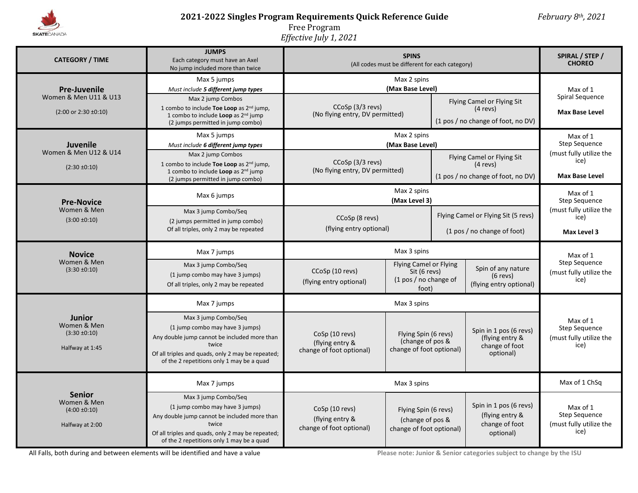

## **2021-2022 Singles Program Requirements Quick Reference Guide** *February 8th, 2021*

Free Program

*Effective July 1, 2021*

| <b>CATEGORY / TIME</b>                                                             | <b>JUMPS</b><br>Each category must have an Axel<br>No jump included more than twice                                                                                                                                               | (All codes must be different for each category)                                                                                                      | SPIRAL / STEP /<br><b>CHOREO</b>                                                    |                                                                                |                                                                                       |                                                                                       |
|------------------------------------------------------------------------------------|-----------------------------------------------------------------------------------------------------------------------------------------------------------------------------------------------------------------------------------|------------------------------------------------------------------------------------------------------------------------------------------------------|-------------------------------------------------------------------------------------|--------------------------------------------------------------------------------|---------------------------------------------------------------------------------------|---------------------------------------------------------------------------------------|
| <b>Pre-Juvenile</b><br>Women & Men U11 & U13<br>$(2:00 \text{ or } 2:30 \pm 0:10)$ | Max 5 jumps<br>Must include 5 different jump types<br>Max 2 jump Combos<br>1 combo to include <b>Toe Loop</b> as $2^{nd}$ jump,<br>1 combo to include Loop as 2 <sup>nd</sup> jump<br>(2 jumps permitted in jump combo)           | Max 2 spins<br>(Max Base Level)<br>CCoSp (3/3 revs)<br>(No flying entry, DV permitted)                                                               |                                                                                     |                                                                                | <b>Flying Camel or Flying Sit</b><br>$(4$ revs)<br>(1 pos / no change of foot, no DV) | Max of 1<br>Spiral Sequence<br><b>Max Base Level</b>                                  |
| Juvenile<br>Women & Men U12 & U14<br>$(2:30 \pm 0:10)$                             | Max 5 jumps<br>Must include 6 different jump types<br>Max 2 jump Combos<br>1 combo to include <b>Toe Loop</b> as $2^{nd}$ jump,<br>1 combo to include Loop as 2 <sup>nd</sup> jump<br>(2 jumps permitted in jump combo)           | Max 2 spins<br>(Max Base Level)<br>CCoSp (3/3 revs)<br>(No flying entry, DV permitted)                                                               |                                                                                     | Flying Camel or Flying Sit<br>$(4$ revs)<br>(1 pos / no change of foot, no DV) |                                                                                       | Max of 1<br>Step Sequence<br>(must fully utilize the<br>ice)<br><b>Max Base Level</b> |
| <b>Pre-Novice</b><br>Women & Men<br>$(3:00 \pm 0:10)$                              | Max 6 jumps<br>Max 3 jump Combo/Seg<br>(2 jumps permitted in jump combo)<br>Of all triples, only 2 may be repeated                                                                                                                | Max 2 spins<br>(Max Level 3)<br>CCoSp (8 revs)<br>(flying entry optional)                                                                            |                                                                                     | Flying Camel or Flying Sit (5 revs)<br>(1 pos / no change of foot)             |                                                                                       | Max of 1<br><b>Step Sequence</b><br>(must fully utilize the<br>ice)<br>Max Level 3    |
| <b>Novice</b><br>Women & Men<br>$(3:30 \pm 0:10)$                                  | Max 7 jumps<br>Max 3 jump Combo/Seg<br>(1 jump combo may have 3 jumps)<br>Of all triples, only 2 may be repeated                                                                                                                  | Max 3 spins<br><b>Flying Camel or Flying</b><br>CCoSp (10 revs)<br>Sit (6 revs)<br>(1 pos / no change of<br>(flying entry optional)<br>foot)         |                                                                                     |                                                                                | Spin of any nature<br>$(6$ revs)<br>(flying entry optional)                           | Max of 1<br>Step Sequence<br>(must fully utilize the<br>ice)                          |
| <b>Junior</b><br>Women & Men<br>$(3:30 \pm 0:10)$<br>Halfway at 1:45               | Max 7 jumps<br>Max 3 jump Combo/Seq<br>(1 jump combo may have 3 jumps)<br>Any double jump cannot be included more than<br>twice<br>Of all triples and quads, only 2 may be repeated;<br>of the 2 repetitions only 1 may be a quad | CoSp (10 revs)<br>(flying entry &<br>change of foot optional)                                                                                        | Max 3 spins<br>Flying Spin (6 revs)<br>(change of pos &<br>change of foot optional) |                                                                                | Spin in 1 pos (6 revs)<br>(flying entry &<br>change of foot<br>optional)              | Max of 1<br>Step Sequence<br>(must fully utilize the<br>ice)                          |
| <b>Senior</b><br>Women & Men<br>$(4:00 \pm 0:10)$<br>Halfway at 2:00               | Max 7 jumps<br>Max 3 jump Combo/Seq<br>(1 jump combo may have 3 jumps)<br>Any double jump cannot be included more than<br>twice<br>Of all triples and quads, only 2 may be repeated;<br>of the 2 repetitions only 1 may be a quad | Max 3 spins<br>CoSp (10 revs)<br>Flying Spin (6 revs)<br>(flying entry &<br>(change of pos &<br>change of foot optional)<br>change of foot optional) |                                                                                     | Spin in 1 pos (6 revs)<br>(flying entry &<br>change of foot<br>optional)       | Max of 1 ChSq<br>Max of 1<br>Step Sequence<br>(must fully utilize the<br>ice)         |                                                                                       |

All Falls, both during and between elements will be identified and have a value **Please in the please note:** Junior & Senior categories subject to change by the ISU